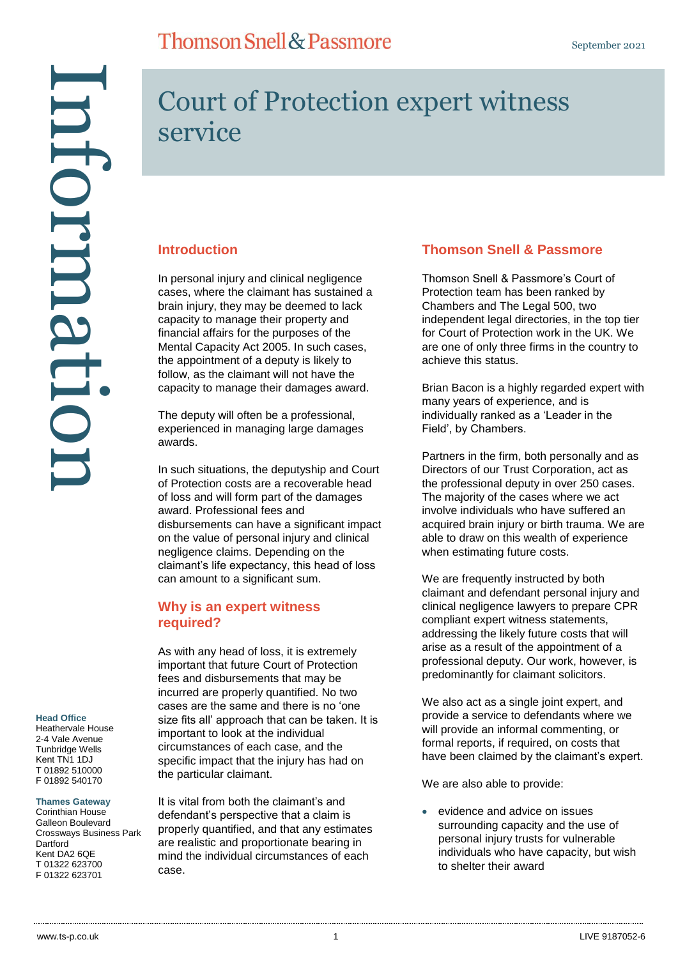#### **Head Office**

Heathervale House 2-4 Vale Avenue Tunbridge Wells Kent TN1 1DJ T 01892 510000 F 01892 540170

#### **Thames Gateway**

Corinthian House Galleon Boulevard Crossways Business Park **Dartford** Kent DA2 6QE T 01322 623700 F 01322 623701

# Court of Protection expert witness service

#### **Introduction**

In personal injury and clinical negligence cases, where the claimant has sustained a brain injury, they may be deemed to lack capacity to manage their property and financial affairs for the purposes of the Mental Capacity Act 2005. In such cases, the appointment of a deputy is likely to follow, as the claimant will not have the capacity to manage their damages award.

**Thomson Snell & Passmore** 

The deputy will often be a professional, experienced in managing large damages awards.

In such situations, the deputyship and Court of Protection costs are a recoverable head of loss and will form part of the damages award. Professional fees and disbursements can have a significant impact on the value of personal injury and clinical negligence claims. Depending on the claimant's life expectancy, this head of loss can amount to a significant sum.

#### **Why is an expert witness required?**

As with any head of loss, it is extremely important that future Court of Protection fees and disbursements that may be incurred are properly quantified. No two cases are the same and there is no 'one size fits all' approach that can be taken. It is important to look at the individual circumstances of each case, and the specific impact that the injury has had on the particular claimant.

It is vital from both the claimant's and defendant's perspective that a claim is properly quantified, and that any estimates are realistic and proportionate bearing in mind the individual circumstances of each case.

### **Thomson Snell & Passmore**

Thomson Snell & Passmore's Court of Protection team has been ranked by Chambers and The Legal 500, two independent legal directories, in the top tier for Court of Protection work in the UK. We are one of only three firms in the country to achieve this status.

Brian Bacon is a highly regarded expert with many years of experience, and is individually ranked as a 'Leader in the Field', by Chambers.

Partners in the firm, both personally and as Directors of our Trust Corporation, act as the professional deputy in over 250 cases. The majority of the cases where we act involve individuals who have suffered an acquired brain injury or birth trauma. We are able to draw on this wealth of experience when estimating future costs.

We are frequently instructed by both claimant and defendant personal injury and clinical negligence lawyers to prepare CPR compliant expert witness statements, addressing the likely future costs that will arise as a result of the appointment of a professional deputy. Our work, however, is predominantly for claimant solicitors.

We also act as a single joint expert, and provide a service to defendants where we will provide an informal commenting, or formal reports, if required, on costs that have been claimed by the claimant's expert.

We are also able to provide:

 evidence and advice on issues surrounding capacity and the use of personal injury trusts for vulnerable individuals who have capacity, but wish to shelter their award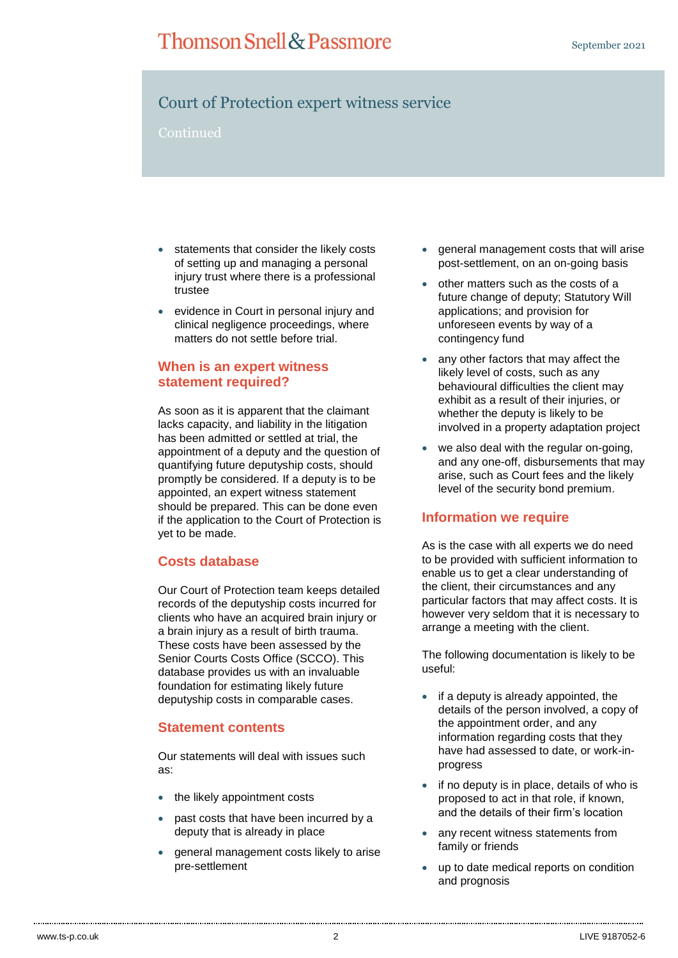# **Thomson Snell & Passmore**

## Court of Protection expert witness service

Continued

- statements that consider the likely costs of setting up and managing a personal injury trust where there is a professional trustee
- evidence in Court in personal injury and clinical negligence proceedings, where matters do not settle before trial.

### **When is an expert witness statement required?**

As soon as it is apparent that the claimant lacks capacity, and liability in the litigation has been admitted or settled at trial, the appointment of a deputy and the question of quantifying future deputyship costs, should promptly be considered. If a deputy is to be appointed, an expert witness statement should be prepared. This can be done even if the application to the Court of Protection is yet to be made.

#### **Costs database**

Our Court of Protection team keeps detailed records of the deputyship costs incurred for clients who have an acquired brain injury or a brain injury as a result of birth trauma. These costs have been assessed by the Senior Courts Costs Office (SCCO). This database provides us with an invaluable foundation for estimating likely future deputyship costs in comparable cases.

#### **Statement contents**

Our statements will deal with issues such as:

- the likely appointment costs
- past costs that have been incurred by a deputy that is already in place
- general management costs likely to arise pre-settlement
- general management costs that will arise post-settlement, on an on-going basis
- other matters such as the costs of a future change of deputy; Statutory Will applications; and provision for unforeseen events by way of a contingency fund
- any other factors that may affect the likely level of costs, such as any behavioural difficulties the client may exhibit as a result of their injuries, or whether the deputy is likely to be involved in a property adaptation project
- we also deal with the regular on-going, and any one-off, disbursements that may arise, such as Court fees and the likely level of the security bond premium.

#### **Information we require**

As is the case with all experts we do need to be provided with sufficient information to enable us to get a clear understanding of the client, their circumstances and any particular factors that may affect costs. It is however very seldom that it is necessary to arrange a meeting with the client.

The following documentation is likely to be useful:

- $\bullet$  if a deputy is already appointed, the details of the person involved, a copy of the appointment order, and any information regarding costs that they have had assessed to date, or work-inprogress
- if no deputy is in place, details of who is proposed to act in that role, if known, and the details of their firm's location
- any recent witness statements from family or friends
- up to date medical reports on condition and prognosis